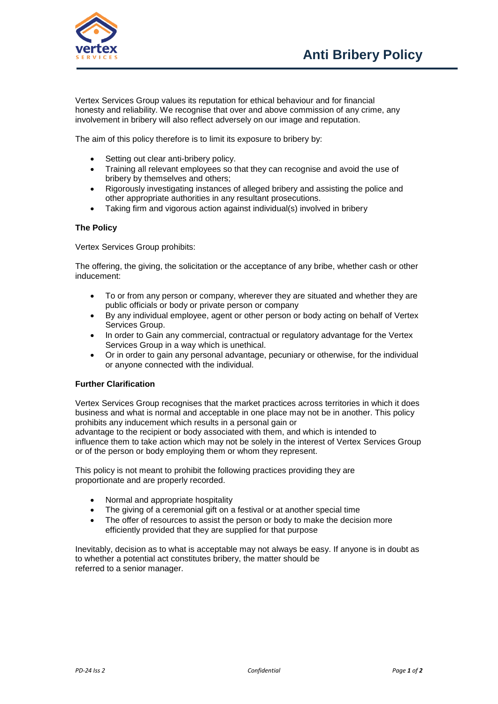

Vertex Services Group values its reputation for ethical behaviour and for financial honesty and reliability. We recognise that over and above commission of any crime, any involvement in bribery will also reflect adversely on our image and reputation.

The aim of this policy therefore is to limit its exposure to bribery by:

- Setting out clear anti-bribery policy.
- Training all relevant employees so that they can recognise and avoid the use of bribery by themselves and others;
- Rigorously investigating instances of alleged bribery and assisting the police and other appropriate authorities in any resultant prosecutions.
- Taking firm and vigorous action against individual(s) involved in bribery

## **The Policy**

Vertex Services Group prohibits:

The offering, the giving, the solicitation or the acceptance of any bribe, whether cash or other inducement:

- To or from any person or company, wherever they are situated and whether they are public officials or body or private person or company
- By any individual employee, agent or other person or body acting on behalf of Vertex Services Group.
- In order to Gain any commercial, contractual or regulatory advantage for the Vertex Services Group in a way which is unethical.
- Or in order to gain any personal advantage, pecuniary or otherwise, for the individual or anyone connected with the individual.

## **Further Clarification**

Vertex Services Group recognises that the market practices across territories in which it does business and what is normal and acceptable in one place may not be in another. This policy prohibits any inducement which results in a personal gain or

advantage to the recipient or body associated with them, and which is intended to influence them to take action which may not be solely in the interest of Vertex Services Group or of the person or body employing them or whom they represent.

This policy is not meant to prohibit the following practices providing they are proportionate and are properly recorded.

- Normal and appropriate hospitality
- The giving of a ceremonial gift on a festival or at another special time
- The offer of resources to assist the person or body to make the decision more efficiently provided that they are supplied for that purpose

Inevitably, decision as to what is acceptable may not always be easy. If anyone is in doubt as to whether a potential act constitutes bribery, the matter should be referred to a senior manager.